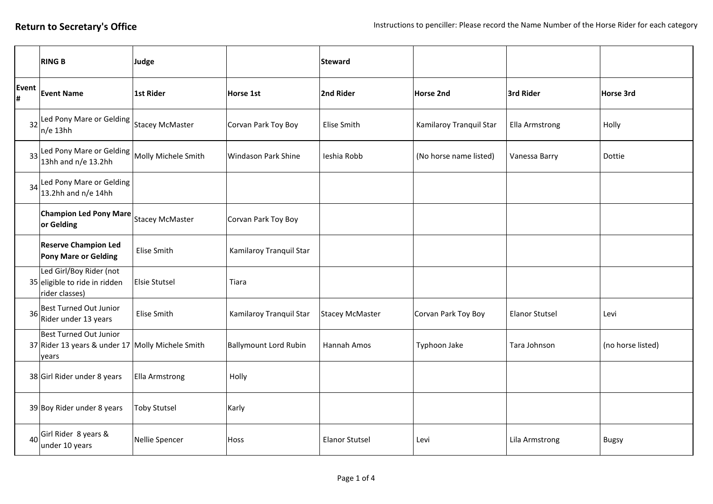|                 | <b>RING B</b>                                                                       | Judge                  |                              | <b>Steward</b>         |                         |                       |                   |
|-----------------|-------------------------------------------------------------------------------------|------------------------|------------------------------|------------------------|-------------------------|-----------------------|-------------------|
| Event<br>#      | <b>Event Name</b>                                                                   | <b>1st Rider</b>       | Horse 1st                    | 2nd Rider              | Horse 2nd               | 3rd Rider             | Horse 3rd         |
|                 | 32 Led Pony Mare or Gelding<br>$n/e$ 13hh                                           | <b>Stacey McMaster</b> | Corvan Park Toy Boy          | Elise Smith            | Kamilaroy Tranquil Star | Ella Armstrong        | Holly             |
| 33              | Led Pony Mare or Gelding<br>13hh and n/e 13.2hh                                     | Molly Michele Smith    | Windason Park Shine          | Ieshia Robb            | (No horse name listed)  | Vanessa Barry         | Dottie            |
| 34              | Led Pony Mare or Gelding<br>13.2hh and n/e 14hh                                     |                        |                              |                        |                         |                       |                   |
|                 | <b>Champion Led Pony Mare</b><br>or Gelding                                         | <b>Stacey McMaster</b> | Corvan Park Toy Boy          |                        |                         |                       |                   |
|                 | <b>Reserve Champion Led</b><br><b>Pony Mare or Gelding</b>                          | Elise Smith            | Kamilaroy Tranquil Star      |                        |                         |                       |                   |
|                 | Led Girl/Boy Rider (not<br>35 eligible to ride in ridden<br>rider classes)          | <b>Elsie Stutsel</b>   | Tiara                        |                        |                         |                       |                   |
|                 | 36 Best Turned Out Junior<br>Rider under 13 years                                   | Elise Smith            | Kamilaroy Tranquil Star      | <b>Stacey McMaster</b> | Corvan Park Toy Boy     | <b>Elanor Stutsel</b> | Levi              |
|                 | Best Turned Out Junior<br>37 Rider 13 years & under 17 Molly Michele Smith<br>years |                        | <b>Ballymount Lord Rubin</b> | Hannah Amos            | Typhoon Jake            | Tara Johnson          | (no horse listed) |
|                 | 38 Girl Rider under 8 years                                                         | Ella Armstrong         | Holly                        |                        |                         |                       |                   |
|                 | 39 Boy Rider under 8 years                                                          | <b>Toby Stutsel</b>    | Karly                        |                        |                         |                       |                   |
| 40 <sup>1</sup> | Girl Rider 8 years &<br>under 10 years                                              | Nellie Spencer         | Hoss                         | <b>Elanor Stutsel</b>  | Levi                    | Lila Armstrong        | <b>Bugsy</b>      |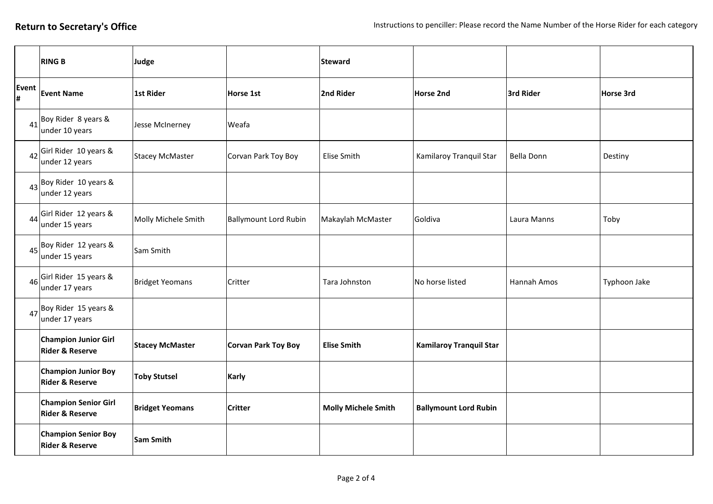|             | <b>RING B</b>                                             | Judge                  |                              | <b>Steward</b>             |                                |             |              |
|-------------|-----------------------------------------------------------|------------------------|------------------------------|----------------------------|--------------------------------|-------------|--------------|
| Event<br> # | <b>Event Name</b>                                         | 1st Rider              | <b>Horse 1st</b>             | 2nd Rider                  | Horse 2nd                      | 3rd Rider   | Horse 3rd    |
| 41          | Boy Rider 8 years &<br>under 10 years                     | Jesse McInerney        | Weafa                        |                            |                                |             |              |
| 42          | Girl Rider 10 years &<br>under 12 years                   | <b>Stacey McMaster</b> | Corvan Park Toy Boy          | Elise Smith                | Kamilaroy Tranquil Star        | Bella Donn  | Destiny      |
| 43          | Boy Rider 10 years &<br>under 12 years                    |                        |                              |                            |                                |             |              |
| 44          | Girl Rider 12 years &<br>under 15 years                   | Molly Michele Smith    | <b>Ballymount Lord Rubin</b> | Makaylah McMaster          | Goldiva                        | Laura Manns | Toby         |
| 45          | Boy Rider 12 years &<br>under 15 years                    | Sam Smith              |                              |                            |                                |             |              |
| 46          | Girl Rider 15 years &<br>under 17 years                   | <b>Bridget Yeomans</b> | Critter                      | Tara Johnston              | No horse listed                | Hannah Amos | Typhoon Jake |
|             | $47$ Boy Rider 15 years &<br>under 17 years               |                        |                              |                            |                                |             |              |
|             | <b>Champion Junior Girl</b><br><b>Rider &amp; Reserve</b> | <b>Stacey McMaster</b> | <b>Corvan Park Toy Boy</b>   | <b>Elise Smith</b>         | <b>Kamilaroy Tranquil Star</b> |             |              |
|             | <b>Champion Junior Boy</b><br><b>Rider &amp; Reserve</b>  | <b>Toby Stutsel</b>    | <b>Karly</b>                 |                            |                                |             |              |
|             | <b>Champion Senior Girl</b><br><b>Rider &amp; Reserve</b> | <b>Bridget Yeomans</b> | <b>Critter</b>               | <b>Molly Michele Smith</b> | <b>Ballymount Lord Rubin</b>   |             |              |
|             | <b>Champion Senior Boy</b><br><b>Rider &amp; Reserve</b>  | <b>Sam Smith</b>       |                              |                            |                                |             |              |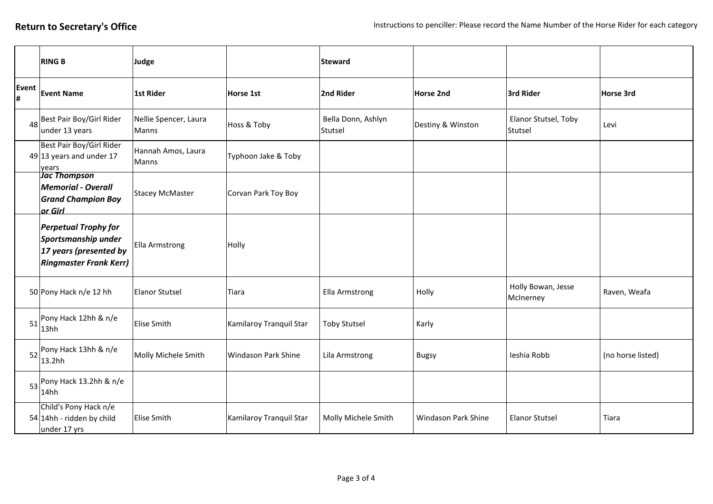|            | <b>RING B</b>                                                                                                 | Judge                              |                         | <b>Steward</b>                |                     |                                 |                   |
|------------|---------------------------------------------------------------------------------------------------------------|------------------------------------|-------------------------|-------------------------------|---------------------|---------------------------------|-------------------|
| Event<br># | <b>Event Name</b>                                                                                             | <b>1st Rider</b>                   | Horse 1st               | 2nd Rider                     | Horse 2nd           | 3rd Rider                       | Horse 3rd         |
| 48         | Best Pair Boy/Girl Rider<br>under 13 years                                                                    | Nellie Spencer, Laura<br>Manns     | Hoss & Toby             | Bella Donn, Ashlyn<br>Stutsel | Destiny & Winston   | Elanor Stutsel, Toby<br>Stutsel | Levi              |
|            | Best Pair Boy/Girl Rider<br>$49 13$ years and under 17<br>years                                               | Hannah Amos, Laura<br><b>Manns</b> | Typhoon Jake & Toby     |                               |                     |                                 |                   |
|            | <b>Jac Thompson</b><br><b>Memorial - Overall</b><br><b>Grand Champion Boy</b><br>or Girl                      | <b>Stacey McMaster</b>             | Corvan Park Toy Boy     |                               |                     |                                 |                   |
|            | <b>Perpetual Trophy for</b><br>Sportsmanship under<br>17 years (presented by<br><b>Ringmaster Frank Kerr)</b> | Ella Armstrong                     | Holly                   |                               |                     |                                 |                   |
|            | 50 Pony Hack n/e 12 hh                                                                                        | <b>Elanor Stutsel</b>              | Tiara                   | Ella Armstrong                | Holly               | Holly Bowan, Jesse<br>McInerney | Raven, Weafa      |
| 51         | Pony Hack 12hh & n/e<br>13hh                                                                                  | <b>Elise Smith</b>                 | Kamilaroy Tranquil Star | <b>Toby Stutsel</b>           | Karly               |                                 |                   |
| 52         | Pony Hack 13hh & n/e<br>13.2hh                                                                                | Molly Michele Smith                | Windason Park Shine     | Lila Armstrong                | <b>Bugsy</b>        | Ieshia Robb                     | (no horse listed) |
|            | $53$ Pony Hack 13.2hh & n/e<br>14hh                                                                           |                                    |                         |                               |                     |                                 |                   |
|            | Child's Pony Hack n/e<br>54 14hh - ridden by child<br>under 17 yrs                                            | <b>Elise Smith</b>                 | Kamilaroy Tranquil Star | Molly Michele Smith           | Windason Park Shine | <b>Elanor Stutsel</b>           | Tiara             |